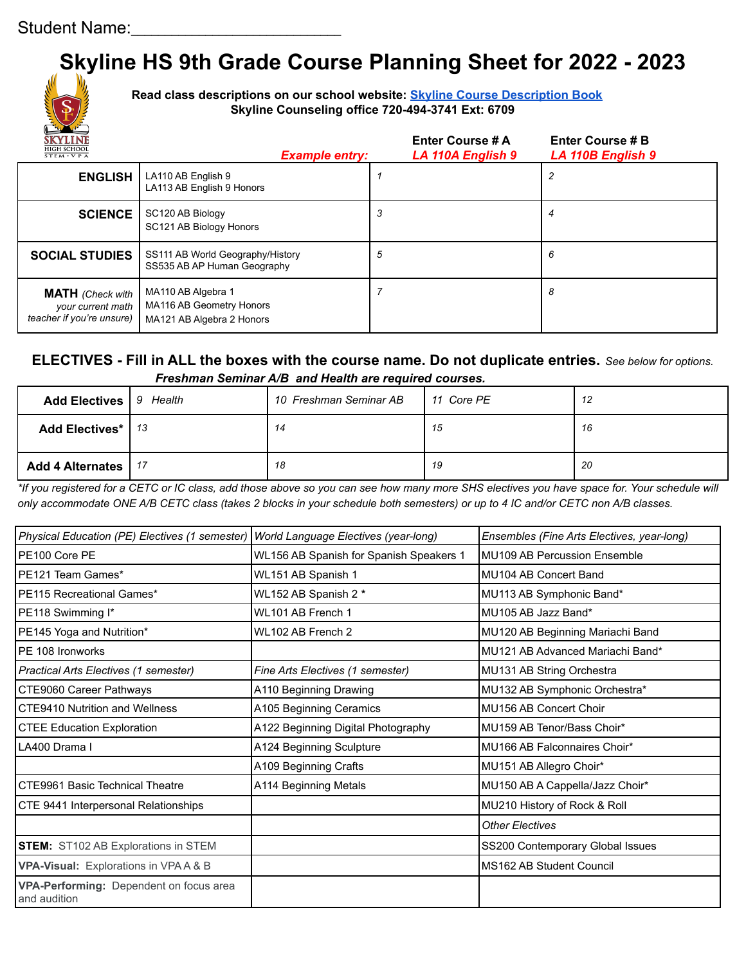# **Skyline HS 9th Grade Course Planning Sheet for 2022 - 2023**



**Read class descriptions on our school website: Skyline Course [Description](https://docs.google.com/document/d/1mTlzTkJCrSfuHhhxY1IvNI5-4_7f4ZXb/edit) Book Skyline Counseling office 720-494-3741 Ext: 6709**

| <b>SKYLINE</b><br><b>HIGH SCHOOL</b><br>$STEM \cdot VPA$                  | <b>Example entry:</b>                                                       | <b>Enter Course # A</b><br>LA 110A English 9 | <b>Enter Course # B</b><br>LA 110B English 9 |
|---------------------------------------------------------------------------|-----------------------------------------------------------------------------|----------------------------------------------|----------------------------------------------|
| <b>ENGLISH</b>                                                            | LA110 AB English 9<br>LA113 AB English 9 Honors                             |                                              |                                              |
| <b>SCIENCE</b>                                                            | SC120 AB Biology<br>SC121 AB Biology Honors                                 | 3                                            | 4                                            |
| <b>SOCIAL STUDIES</b>                                                     | SS111 AB World Geography/History<br>SS535 AB AP Human Geography             | 5                                            | 6                                            |
| <b>MATH</b> (Check with<br>your current math<br>teacher if you're unsure) | MA110 AB Algebra 1<br>MA116 AB Geometry Honors<br>MA121 AB Algebra 2 Honors |                                              | 8                                            |

### **ELECTIVES - Fill in ALL the boxes with the course name. Do not duplicate entries.** *See below for options. Freshman Seminar A/B and Health are required courses.*

| <b>Add Electives</b>   9 Health | 10 Freshman Seminar AB | 11 Core PE | 12  |
|---------------------------------|------------------------|------------|-----|
| Add Electives*   13             | 14                     | 15         | 16  |
| Add 4 Alternates   17           | 18                     | 19         | -20 |

*\*If you registered for a CETC or IC class, add those above so you can see how many more SHS electives you have space for. Your schedule will only accommodate ONE A/B CETC class (takes 2 blocks in your schedule both semesters) or up to 4 IC and/or CETC non A/B classes.*

| Physical Education (PE) Electives (1 semester)          | World Language Electives (year-long)    | Ensembles (Fine Arts Electives, year-long) |  |
|---------------------------------------------------------|-----------------------------------------|--------------------------------------------|--|
| PE100 Core PE                                           | WL156 AB Spanish for Spanish Speakers 1 | MU109 AB Percussion Ensemble               |  |
| PE121 Team Games*                                       | WL151 AB Spanish 1                      | MU104 AB Concert Band                      |  |
| PE115 Recreational Games*                               | WL152 AB Spanish 2 *                    | MU113 AB Symphonic Band*                   |  |
| PE118 Swimming I*                                       | WL101 AB French 1                       | MU105 AB Jazz Band*                        |  |
| PE145 Yoga and Nutrition*                               | WL102 AB French 2                       | MU120 AB Beginning Mariachi Band           |  |
| PE 108 Ironworks                                        |                                         | MU121 AB Advanced Mariachi Band*           |  |
| Practical Arts Electives (1 semester)                   | Fine Arts Electives (1 semester)        | MU131 AB String Orchestra                  |  |
| CTE9060 Career Pathways                                 | A110 Beginning Drawing                  | MU132 AB Symphonic Orchestra*              |  |
| <b>CTE9410 Nutrition and Wellness</b>                   | A105 Beginning Ceramics                 | MU156 AB Concert Choir                     |  |
| <b>CTEE Education Exploration</b>                       | A122 Beginning Digital Photography      | MU159 AB Tenor/Bass Choir*                 |  |
| LA400 Drama I                                           | A124 Beginning Sculpture                | MU166 AB Falconnaires Choir*               |  |
|                                                         | A109 Beginning Crafts                   | MU151 AB Allegro Choir*                    |  |
| CTE9961 Basic Technical Theatre                         | A114 Beginning Metals                   | MU150 AB A Cappella/Jazz Choir*            |  |
| CTE 9441 Interpersonal Relationships                    |                                         | MU210 History of Rock & Roll               |  |
|                                                         |                                         | <b>Other Electives</b>                     |  |
| <b>STEM:</b> ST102 AB Explorations in STEM              |                                         | SS200 Contemporary Global Issues           |  |
| VPA-Visual: Explorations in VPA A & B                   |                                         | MS162 AB Student Council                   |  |
| VPA-Performing: Dependent on focus area<br>and audition |                                         |                                            |  |
|                                                         |                                         |                                            |  |